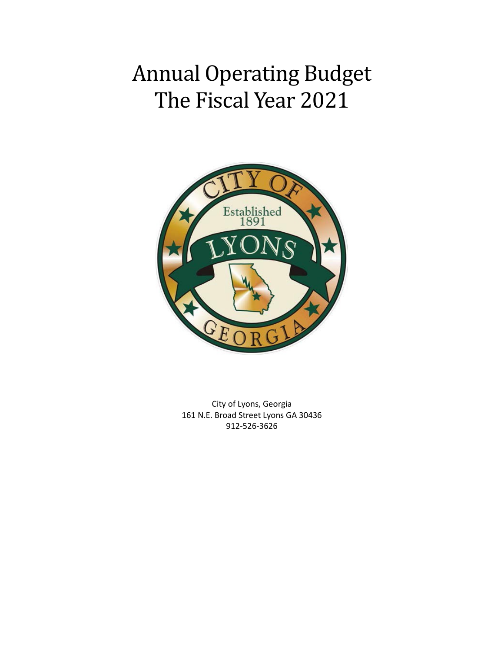# Annual Operating Budget The Fiscal Year 2021



City of Lyons, Georgia 161 N.E. Broad Street Lyons GA 30436 912-526-3626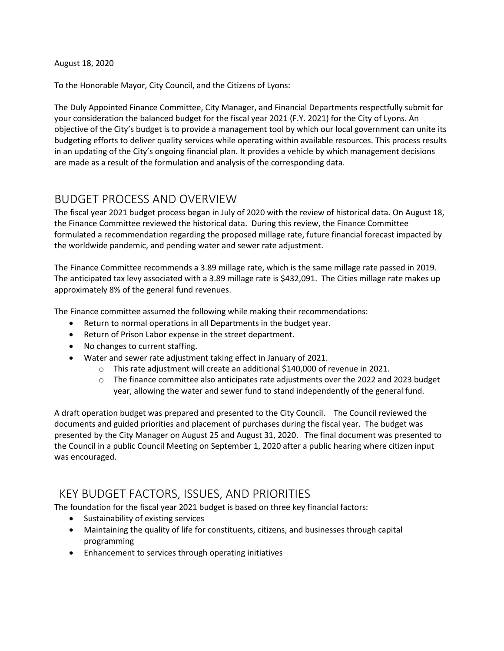August 18, 2020

To the Honorable Mayor, City Council, and the Citizens of Lyons:

The Duly Appointed Finance Committee, City Manager, and Financial Departments respectfully submit for your consideration the balanced budget for the fiscal year 2021 (F.Y. 2021) for the City of Lyons. An objective of the City's budget is to provide a management tool by which our local government can unite its budgeting efforts to deliver quality services while operating within available resources. This process results in an updating of the City's ongoing financial plan. It provides a vehicle by which management decisions are made as a result of the formulation and analysis of the corresponding data.

### BUDGET PROCESS AND OVERVIEW

The fiscal year 2021 budget process began in July of 2020 with the review of historical data. On August 18, the Finance Committee reviewed the historical data. During this review, the Finance Committee formulated a recommendation regarding the proposed millage rate, future financial forecast impacted by the worldwide pandemic, and pending water and sewer rate adjustment.

The Finance Committee recommends a 3.89 millage rate, which is the same millage rate passed in 2019. The anticipated tax levy associated with a 3.89 millage rate is \$432,091. The Cities millage rate makes up approximately 8% of the general fund revenues.

The Finance committee assumed the following while making their recommendations:

- Return to normal operations in all Departments in the budget year.
- Return of Prison Labor expense in the street department.
- No changes to current staffing.
- Water and sewer rate adjustment taking effect in January of 2021.
	- o This rate adjustment will create an additional \$140,000 of revenue in 2021.
	- o The finance committee also anticipates rate adjustments over the 2022 and 2023 budget year, allowing the water and sewer fund to stand independently of the general fund.

A draft operation budget was prepared and presented to the City Council. The Council reviewed the documents and guided priorities and placement of purchases during the fiscal year. The budget was presented by the City Manager on August 25 and August 31, 2020. The final document was presented to the Council in a public Council Meeting on September 1, 2020 after a public hearing where citizen input was encouraged.

### KEY BUDGET FACTORS, ISSUES, AND PRIORITIES

The foundation for the fiscal year 2021 budget is based on three key financial factors:

- Sustainability of existing services
- Maintaining the quality of life for constituents, citizens, and businesses through capital programming
- Enhancement to services through operating initiatives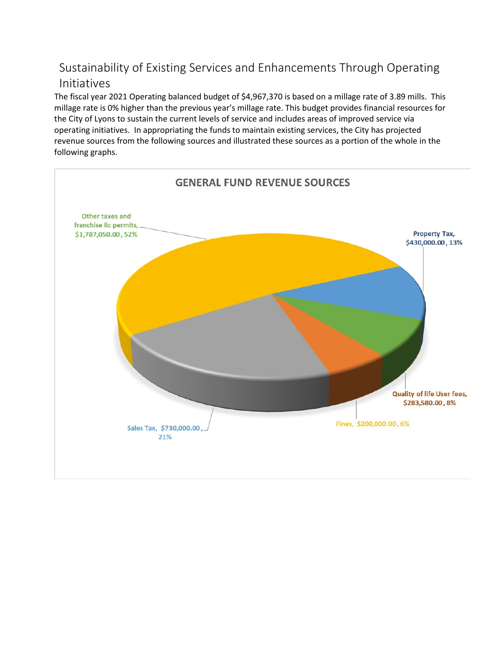# Sustainability of Existing Services and Enhancements Through Operating Initiatives

The fiscal year 2021 Operating balanced budget of \$4,967,370 is based on a millage rate of 3.89 mills. This millage rate is 0% higher than the previous year's millage rate. This budget provides financial resources for the City of Lyons to sustain the current levels of service and includes areas of improved service via operating initiatives. In appropriating the funds to maintain existing services, the City has projected revenue sources from the following sources and illustrated these sources as a portion of the whole in the following graphs.

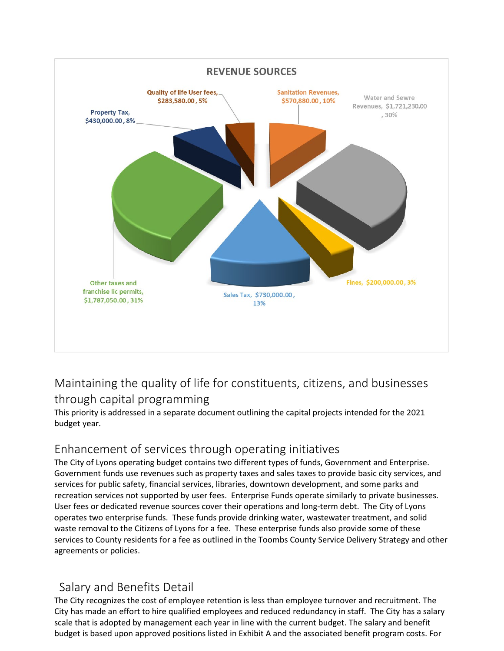

# Maintaining the quality of life for constituents, citizens, and businesses through capital programming

This priority is addressed in a separate document outlining the capital projects intended for the 2021 budget year.

# Enhancement of services through operating initiatives

The City of Lyons operating budget contains two different types of funds, Government and Enterprise. Government funds use revenues such as property taxes and sales taxes to provide basic city services, and services for public safety, financial services, libraries, downtown development, and some parks and recreation services not supported by user fees. Enterprise Funds operate similarly to private businesses. User fees or dedicated revenue sources cover their operations and long-term debt. The City of Lyons operates two enterprise funds. These funds provide drinking water, wastewater treatment, and solid waste removal to the Citizens of Lyons for a fee. These enterprise funds also provide some of these services to County residents for a fee as outlined in the Toombs County Service Delivery Strategy and other agreements or policies.

# Salary and Benefits Detail

The City recognizes the cost of employee retention is less than employee turnover and recruitment. The City has made an effort to hire qualified employees and reduced redundancy in staff. The City has a salary scale that is adopted by management each year in line with the current budget. The salary and benefit budget is based upon approved positions listed in Exhibit A and the associated benefit program costs. For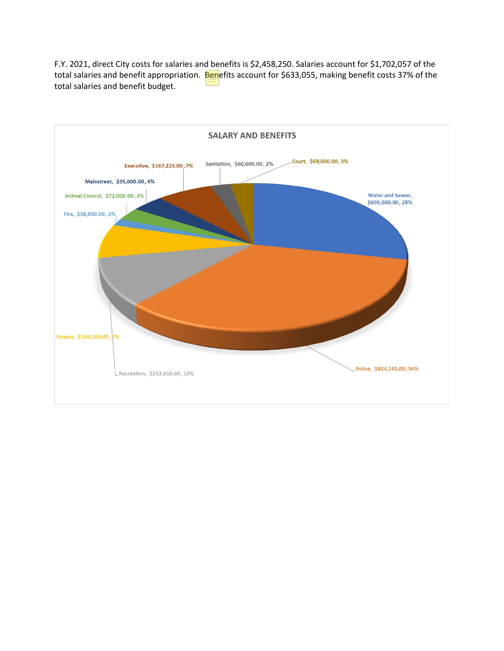F.Y. 2021, direct City costs for salaries and benefits is \$2,458,250. Salaries account for \$1,702,057 of the total salaries and benefit appropriation. Benefits account for \$633,055, making benefit costs 37% of the total salaries and benefit budget.

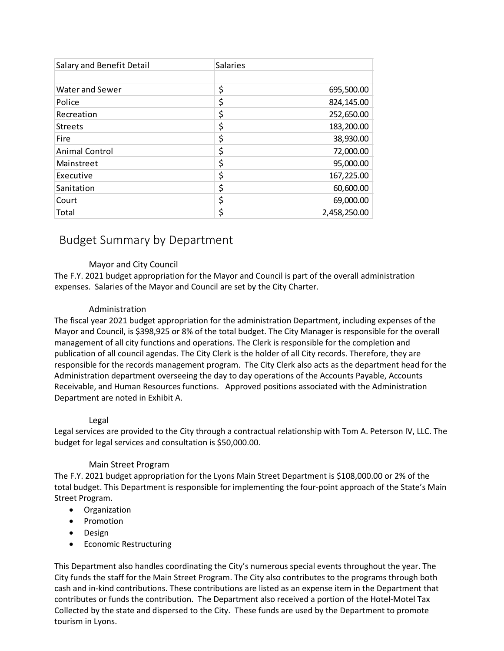| Salary and Benefit Detail | <b>Salaries</b> |              |
|---------------------------|-----------------|--------------|
|                           |                 |              |
| <b>Water and Sewer</b>    | \$              | 695,500.00   |
| Police                    | \$              | 824,145.00   |
| Recreation                | \$              | 252,650.00   |
| <b>Streets</b>            | \$              | 183,200.00   |
| <b>Fire</b>               | \$              | 38,930.00    |
| <b>Animal Control</b>     | \$              | 72,000.00    |
| Mainstreet                | \$              | 95,000.00    |
| Executive                 | \$              | 167,225.00   |
| Sanitation                | \$              | 60,600.00    |
| Court                     | \$              | 69,000.00    |
| Total                     | \$              | 2,458,250.00 |

### Budget Summary by Department

#### Mayor and City Council

The F.Y. 2021 budget appropriation for the Mayor and Council is part of the overall administration expenses. Salaries of the Mayor and Council are set by the City Charter.

#### Administration

The fiscal year 2021 budget appropriation for the administration Department, including expenses of the Mayor and Council, is \$398,925 or 8% of the total budget. The City Manager is responsible for the overall management of all city functions and operations. The Clerk is responsible for the completion and publication of all council agendas. The City Clerk is the holder of all City records. Therefore, they are responsible for the records management program. The City Clerk also acts as the department head for the Administration department overseeing the day to day operations of the Accounts Payable, Accounts Receivable, and Human Resources functions. Approved positions associated with the Administration Department are noted in Exhibit A.

#### Legal

Legal services are provided to the City through a contractual relationship with Tom A. Peterson IV, LLC. The budget for legal services and consultation is \$50,000.00.

#### Main Street Program

The F.Y. 2021 budget appropriation for the Lyons Main Street Department is \$108,000.00 or 2% of the total budget. This Department is responsible for implementing the four-point approach of the State's Main Street Program.

- Organization
- Promotion
- Design
- Economic Restructuring

This Department also handles coordinating the City's numerous special events throughout the year. The City funds the staff for the Main Street Program. The City also contributes to the programs through both cash and in-kind contributions. These contributions are listed as an expense item in the Department that contributes or funds the contribution. The Department also received a portion of the Hotel-Motel Tax Collected by the state and dispersed to the City. These funds are used by the Department to promote tourism in Lyons.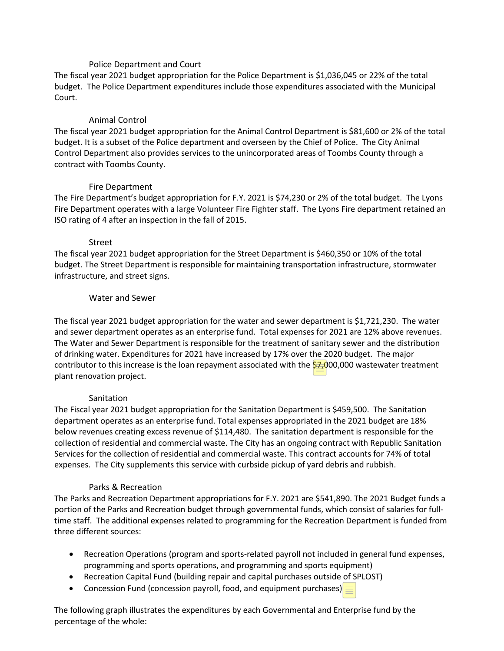#### Police Department and Court

The fiscal year 2021 budget appropriation for the Police Department is \$1,036,045 or 22% of the total budget. The Police Department expenditures include those expenditures associated with the Municipal Court.

#### Animal Control

The fiscal year 2021 budget appropriation for the Animal Control Department is \$81,600 or 2% of the total budget. It is a subset of the Police department and overseen by the Chief of Police. The City Animal Control Department also provides services to the unincorporated areas of Toombs County through a contract with Toombs County.

#### Fire Department

The Fire Department's budget appropriation for F.Y. 2021 is \$74,230 or 2% of the total budget. The Lyons Fire Department operates with a large Volunteer Fire Fighter staff. The Lyons Fire department retained an ISO rating of 4 after an inspection in the fall of 2015.

#### Street

The fiscal year 2021 budget appropriation for the Street Department is \$460,350 or 10% of the total budget. The Street Department is responsible for maintaining transportation infrastructure, stormwater infrastructure, and street signs.

#### Water and Sewer

The fiscal year 2021 budget appropriation for the water and sewer department is \$1,721,230. The water and sewer department operates as an enterprise fund. Total expenses for 2021 are 12% above revenues. The Water and Sewer Department is responsible for the treatment of sanitary sewer and the distribution of drinking water. Expenditures for 2021 have increased by 17% over the 2020 budget. The major contributor to this increase is the loan repayment associated with the  $$7,000,000$  wastewater treatment plant renovation project.

#### Sanitation

The Fiscal year 2021 budget appropriation for the Sanitation Department is \$459,500. The Sanitation department operates as an enterprise fund. Total expenses appropriated in the 2021 budget are 18% below revenues creating excess revenue of \$114,480. The sanitation department is responsible for the collection of residential and commercial waste. The City has an ongoing contract with Republic Sanitation Services for the collection of residential and commercial waste. This contract accounts for 74% of total expenses. The City supplements this service with curbside pickup of yard debris and rubbish.

#### Parks & Recreation

The Parks and Recreation Department appropriations for F.Y. 2021 are \$541,890. The 2021 Budget funds a portion of the Parks and Recreation budget through governmental funds, which consist of salaries for fulltime staff. The additional expenses related to programming for the Recreation Department is funded from three different sources:

- Recreation Operations (program and sports-related payroll not included in general fund expenses, programming and sports operations, and programming and sports equipment)
- Recreation Capital Fund (building repair and capital purchases outside of SPLOST)
- Concession Fund (concession payroll, food, and equipment purchases)  $\equiv$

The following graph illustrates the expenditures by each Governmental and Enterprise fund by the percentage of the whole: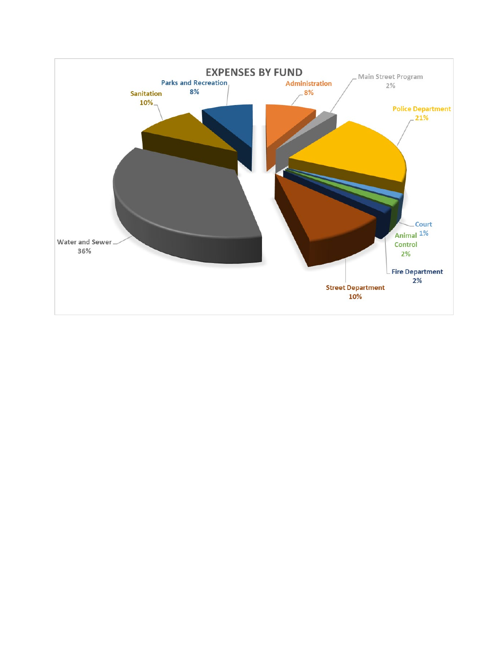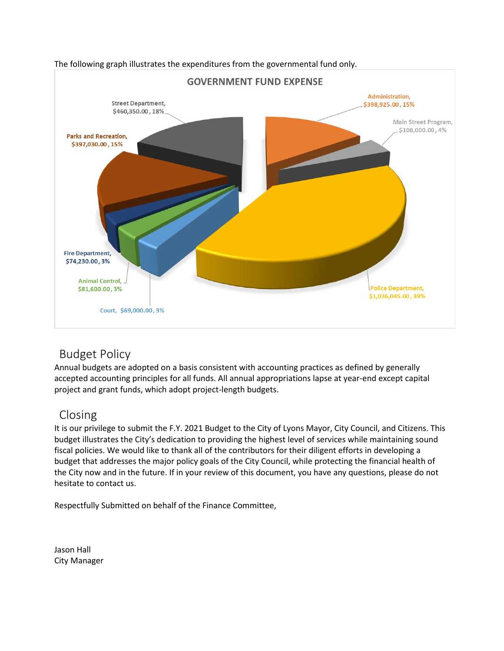

#### The following graph illustrates the expenditures from the governmental fund only.

### Budget Policy

Annual budgets are adopted on a basis consistent with accounting practices as defined by generally accepted accounting principles for all funds. All annual appropriations lapse at year-end except capital project and grant funds, which adopt project-length budgets.

### Closing

It is our privilege to submit the F.Y. 2021 Budget to the City of Lyons Mayor, City Council, and Citizens. This budget illustrates the City's dedication to providing the highest level of services while maintaining sound fiscal policies. We would like to thank all of the contributors for their diligent efforts in developing a budget that addresses the major policy goals of the City Council, while protecting the financial health of the City now and in the future. If in your review of this document, you have any questions, please do not hesitate to contact us.

Respectfully Submitted on behalf of the Finance Committee,

Jason Hall City Manager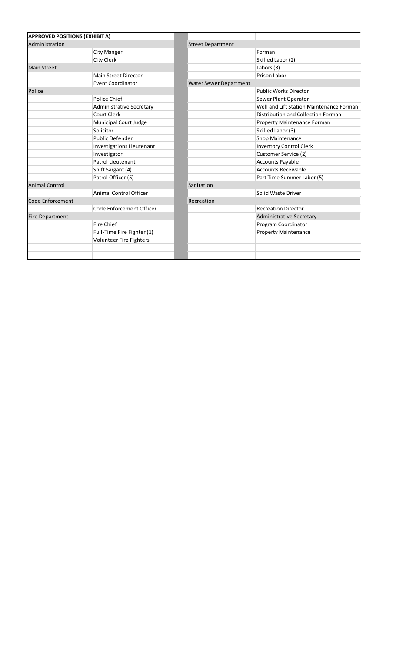| <b>APPROVED POSITIONS (EXHIBIT A)</b> |                                  |                               |                                          |
|---------------------------------------|----------------------------------|-------------------------------|------------------------------------------|
| Administration                        |                                  | <b>Street Department</b>      |                                          |
|                                       | City Manger                      |                               | Forman                                   |
|                                       | City Clerk                       |                               | Skilled Labor (2)                        |
| <b>Main Street</b>                    |                                  |                               | Labors (3)                               |
|                                       | <b>Main Street Director</b>      |                               | Prison Labor                             |
|                                       | <b>Event Coordinator</b>         | <b>Water Sewer Department</b> |                                          |
| Police                                |                                  |                               | <b>Public Works Director</b>             |
|                                       | Police Chief                     |                               | Sewer Plant Operator                     |
|                                       | Administrative Secretary         |                               | Well and Lift Station Maintenance Forman |
|                                       | Court Clerk                      |                               | Distribution and Collection Forman       |
|                                       | Municipal Court Judge            |                               | Property Maintenance Forman              |
|                                       | Solicitor                        |                               | Skilled Labor (3)                        |
|                                       | Public Defender                  |                               | Shop Maintenance                         |
|                                       | <b>Investigations Lieutenant</b> |                               | <b>Inventory Control Clerk</b>           |
|                                       | Investigator                     |                               | Customer Service (2)                     |
|                                       | Patrol Lieutenant                |                               | <b>Accounts Payable</b>                  |
|                                       | Shift Sargant (4)                |                               | <b>Accounts Receivable</b>               |
|                                       | Patrol Officer (5)               |                               | Part Time Summer Labor (5)               |
| <b>Animal Control</b>                 |                                  | Sanitation                    |                                          |
|                                       | <b>Animal Control Officer</b>    |                               | Solid Waste Driver                       |
| Code Enforcement                      |                                  | Recreation                    |                                          |
|                                       | Code Enforcement Officer         |                               | <b>Recreation Director</b>               |
| <b>Fire Department</b>                |                                  |                               | Administrative Secretary                 |
|                                       | Fire Chief                       |                               | Program Coordinator                      |
|                                       | Full-Time Fire Fighter (1)       |                               | <b>Property Maintenance</b>              |
|                                       | Volunteer Fire Fighters          |                               |                                          |
|                                       |                                  |                               |                                          |
|                                       |                                  |                               |                                          |

 $\overline{\phantom{a}}$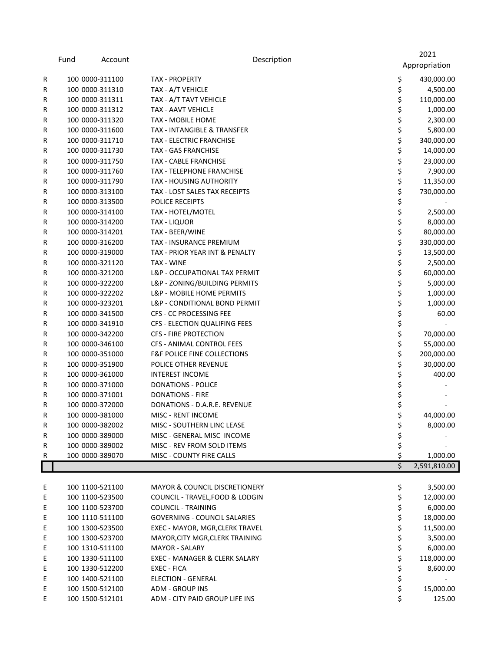|   | Fund | Account         | Description                              |    | 2021          |
|---|------|-----------------|------------------------------------------|----|---------------|
|   |      |                 |                                          |    | Appropriation |
| R |      | 100 0000-311100 | <b>TAX - PROPERTY</b>                    | \$ | 430,000.00    |
| R |      | 100 0000-311310 | TAX - A/T VEHICLE                        | \$ | 4,500.00      |
| R |      | 100 0000-311311 | TAX - A/T TAVT VEHICLE                   | \$ | 110,000.00    |
| R |      | 100 0000-311312 | <b>TAX - AAVT VEHICLE</b>                | \$ | 1,000.00      |
| R |      | 100 0000-311320 | <b>TAX - MOBILE HOME</b>                 | \$ | 2,300.00      |
| R |      | 100 0000-311600 | TAX - INTANGIBLE & TRANSFER              | \$ | 5,800.00      |
| R |      | 100 0000-311710 | <b>TAX - ELECTRIC FRANCHISE</b>          | \$ | 340,000.00    |
| R |      | 100 0000-311730 | <b>TAX - GAS FRANCHISE</b>               | \$ | 14,000.00     |
| R |      | 100 0000-311750 | <b>TAX - CABLE FRANCHISE</b>             | \$ | 23,000.00     |
|   |      | 100 0000-311760 | TAX - TELEPHONE FRANCHISE                | \$ |               |
| R |      | 100 0000-311790 | <b>TAX - HOUSING AUTHORITY</b>           | \$ | 7,900.00      |
| R |      |                 | TAX - LOST SALES TAX RECEIPTS            | \$ | 11,350.00     |
| R |      | 100 0000-313100 | <b>POLICE RECEIPTS</b>                   | \$ | 730,000.00    |
| R |      | 100 0000-313500 |                                          | \$ |               |
| R |      | 100 0000-314100 | TAX - HOTEL/MOTEL                        |    | 2,500.00      |
| R |      | 100 0000-314200 | <b>TAX - LIQUOR</b>                      | \$ | 8,000.00      |
| R |      | 100 0000-314201 | TAX - BEER/WINE                          | \$ | 80,000.00     |
| R |      | 100 0000-316200 | TAX - INSURANCE PREMIUM                  | \$ | 330,000.00    |
| R |      | 100 0000-319000 | TAX - PRIOR YEAR INT & PENALTY           | \$ | 13,500.00     |
| R |      | 100 0000-321120 | TAX - WINE                               | \$ | 2,500.00      |
| R |      | 100 0000-321200 | L&P - OCCUPATIONAL TAX PERMIT            | \$ | 60,000.00     |
| R |      | 100 0000-322200 | L&P - ZONING/BUILDING PERMITS            | \$ | 5,000.00      |
| R |      | 100 0000-322202 | L&P - MOBILE HOME PERMITS                | \$ | 1,000.00      |
| R |      | 100 0000-323201 | L&P - CONDITIONAL BOND PERMIT            | \$ | 1,000.00      |
| R |      | 100 0000-341500 | CFS - CC PROCESSING FEE                  | \$ | 60.00         |
| R |      | 100 0000-341910 | CFS - ELECTION QUALIFING FEES            | \$ |               |
| R |      | 100 0000-342200 | CFS - FIRE PROTECTION                    | \$ | 70,000.00     |
| R |      | 100 0000-346100 | CFS - ANIMAL CONTROL FEES                | \$ | 55,000.00     |
| R |      | 100 0000-351000 | F&F POLICE FINE COLLECTIONS              | \$ | 200,000.00    |
| R |      | 100 0000-351900 | POLICE OTHER REVENUE                     | \$ | 30,000.00     |
| R |      | 100 0000-361000 | <b>INTEREST INCOME</b>                   | \$ | 400.00        |
| R |      | 100 0000-371000 | <b>DONATIONS - POLICE</b>                | \$ |               |
| R |      | 100 0000-371001 | <b>DONATIONS - FIRE</b>                  | \$ |               |
| R |      | 100 0000-372000 | DONATIONS - D.A.R.E. REVENUE             | \$ |               |
| R |      | 100 0000-381000 | <b>MISC - RENT INCOME</b>                | \$ | 44,000.00     |
| R |      | 100 0000-382002 | MISC - SOUTHERN LINC LEASE               | \$ | 8,000.00      |
| R |      | 100 0000-389000 | MISC - GENERAL MISC INCOME               | \$ |               |
| R |      | 100 0000-389002 | MISC - REV FROM SOLD ITEMS               | \$ |               |
| R |      | 100 0000-389070 | MISC - COUNTY FIRE CALLS                 | \$ | 1,000.00      |
|   |      |                 |                                          | \$ | 2,591,810.00  |
|   |      |                 |                                          |    |               |
| E |      | 100 1100-521100 | <b>MAYOR &amp; COUNCIL DISCRETIONERY</b> | \$ | 3,500.00      |
| Ε |      | 100 1100-523500 | COUNCIL - TRAVEL, FOOD & LODGIN          | \$ | 12,000.00     |
| Ε |      | 100 1100-523700 | <b>COUNCIL - TRAINING</b>                | \$ | 6,000.00      |
| Ε |      | 100 1110-511100 | <b>GOVERNING - COUNCIL SALARIES</b>      | \$ | 18,000.00     |
| Ε |      | 100 1300-523500 | EXEC - MAYOR, MGR, CLERK TRAVEL          | \$ | 11,500.00     |
| Ε |      | 100 1300-523700 | MAYOR, CITY MGR, CLERK TRAINING          | \$ | 3,500.00      |
| Ε |      | 100 1310-511100 | <b>MAYOR - SALARY</b>                    | \$ | 6,000.00      |
| Ε |      | 100 1330-511100 | EXEC - MANAGER & CLERK SALARY            | \$ | 118,000.00    |
| Ε |      | 100 1330-512200 | EXEC - FICA                              | \$ | 8,600.00      |
| Ε |      | 100 1400-521100 | <b>ELECTION - GENERAL</b>                | \$ |               |
| Ε |      | 100 1500-512100 | ADM - GROUP INS                          | \$ | 15,000.00     |
| Ε |      | 100 1500-512101 | ADM - CITY PAID GROUP LIFE INS           | \$ | 125.00        |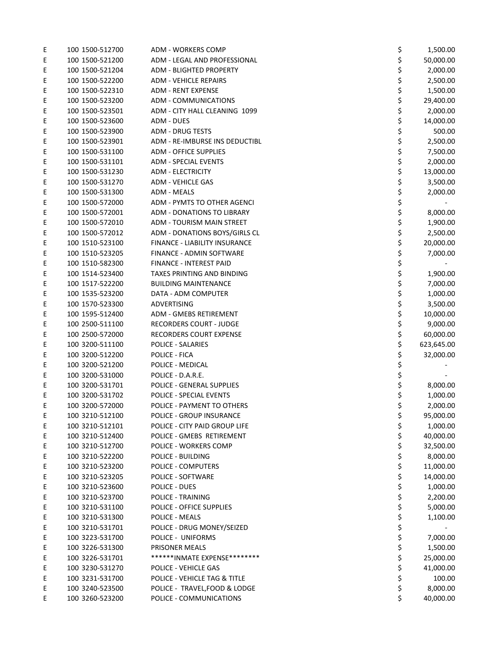| Ε | 100 1500-512700 | <b>ADM - WORKERS COMP</b>                          | \$<br>1,500.00              |
|---|-----------------|----------------------------------------------------|-----------------------------|
| Ε | 100 1500-521200 | ADM - LEGAL AND PROFESSIONAL                       | \$<br>50,000.00             |
| Ε | 100 1500-521204 | <b>ADM - BLIGHTED PROPERTY</b>                     | \$<br>2,000.00              |
| Ε | 100 1500-522200 | <b>ADM - VEHICLE REPAIRS</b>                       | \$<br>2,500.00              |
| Ε | 100 1500-522310 | <b>ADM - RENT EXPENSE</b>                          | \$<br>1,500.00              |
| Ε | 100 1500-523200 | <b>ADM - COMMUNICATIONS</b>                        | \$<br>29,400.00             |
| Ε | 100 1500-523501 | ADM - CITY HALL CLEANING 1099                      | \$<br>2,000.00              |
| Ε | 100 1500-523600 | <b>ADM - DUES</b>                                  | \$<br>14,000.00             |
| E | 100 1500-523900 | <b>ADM - DRUG TESTS</b>                            | \$<br>500.00                |
| Ε | 100 1500-523901 | ADM - RE-IMBURSE INS DEDUCTIBL                     | \$<br>2,500.00              |
| Ε | 100 1500-531100 | <b>ADM - OFFICE SUPPLIES</b>                       | \$<br>7,500.00              |
| Ε | 100 1500-531101 | <b>ADM - SPECIAL EVENTS</b>                        | \$<br>2,000.00              |
| Ε | 100 1500-531230 | <b>ADM - ELECTRICITY</b>                           | \$<br>13,000.00             |
| Ε | 100 1500-531270 | <b>ADM - VEHICLE GAS</b>                           | \$<br>3,500.00              |
| Ε | 100 1500-531300 | <b>ADM - MEALS</b>                                 | \$<br>2,000.00              |
| Ε | 100 1500-572000 | ADM - PYMTS TO OTHER AGENCI                        | \$                          |
| E | 100 1500-572001 | <b>ADM - DONATIONS TO LIBRARY</b>                  | \$<br>8,000.00              |
| Ε | 100 1500-572010 | ADM - TOURISM MAIN STREET                          | \$<br>1,900.00              |
| Ε | 100 1500-572012 | ADM - DONATIONS BOYS/GIRLS CL                      | \$<br>2,500.00              |
| Ε | 100 1510-523100 | FINANCE - LIABILITY INSURANCE                      | \$<br>20,000.00             |
| Ε | 100 1510-523205 | FINANCE - ADMIN SOFTWARE                           | \$<br>7,000.00              |
| Ε | 100 1510-582300 | <b>FINANCE - INTEREST PAID</b>                     | \$                          |
| Ε | 100 1514-523400 | TAXES PRINTING AND BINDING                         | \$<br>1,900.00              |
| Ε | 100 1517-522200 | <b>BUILDING MAINTENANCE</b>                        | \$<br>7,000.00              |
| Ε | 100 1535-523200 | DATA - ADM COMPUTER                                | \$<br>1,000.00              |
| Ε | 100 1570-523300 | ADVERTISING                                        | \$<br>3,500.00              |
| Ε | 100 1595-512400 | <b>ADM - GMEBS RETIREMENT</b>                      | \$<br>10,000.00             |
| Ε | 100 2500-511100 | <b>RECORDERS COURT - JUDGE</b>                     | \$<br>9,000.00              |
| Ε | 100 2500-572000 | RECORDERS COURT EXPENSE                            | \$<br>60,000.00             |
| Ε | 100 3200-511100 | POLICE - SALARIES                                  | \$<br>623,645.00            |
| Ε | 100 3200-512200 | POLICE - FICA                                      | \$<br>32,000.00             |
| Ε | 100 3200-521200 | POLICE - MEDICAL                                   | \$                          |
| Ε | 100 3200-531000 | POLICE - D.A.R.E.                                  | \$                          |
| Ε | 100 3200-531701 | POLICE - GENERAL SUPPLIES                          | \$<br>8,000.00              |
| Ε | 100 3200-531702 | POLICE - SPECIAL EVENTS                            | \$<br>1,000.00              |
| Ε | 100 3200-572000 | POLICE - PAYMENT TO OTHERS                         | \$                          |
| Ε | 100 3210-512100 | POLICE - GROUP INSURANCE                           | \$<br>2,000.00<br>95,000.00 |
|   |                 | POLICE - CITY PAID GROUP LIFE                      |                             |
| Ε | 100 3210-512101 |                                                    | \$<br>1,000.00              |
| Ε | 100 3210-512400 | POLICE - GMEBS RETIREMENT<br>POLICE - WORKERS COMP | \$<br>40,000.00             |
| Ε | 100 3210-512700 |                                                    | \$<br>32,500.00             |
| Ε | 100 3210-522200 | POLICE - BUILDING                                  | \$<br>8,000.00              |
| Ε | 100 3210-523200 | POLICE - COMPUTERS                                 | \$<br>11,000.00             |
| Ε | 100 3210-523205 | POLICE - SOFTWARE                                  | \$<br>14,000.00             |
| Ε | 100 3210-523600 | POLICE - DUES                                      | \$<br>1,000.00              |
| Ε | 100 3210-523700 | <b>POLICE - TRAINING</b>                           | \$<br>2,200.00              |
| Ε | 100 3210-531100 | POLICE - OFFICE SUPPLIES                           | \$<br>5,000.00              |
| Ε | 100 3210-531300 | POLICE - MEALS                                     | \$<br>1,100.00              |
| Ε | 100 3210-531701 | POLICE - DRUG MONEY/SEIZED                         | \$                          |
| Ε | 100 3223-531700 | POLICE - UNIFORMS                                  | \$<br>7,000.00              |
| Ε | 100 3226-531300 | PRISONER MEALS                                     | \$<br>1,500.00              |
| Ε | 100 3226-531701 | *******INMATE EXPENSE*********                     | \$<br>25,000.00             |
| Ε | 100 3230-531270 | POLICE - VEHICLE GAS                               | \$<br>41,000.00             |
| Ε | 100 3231-531700 | POLICE - VEHICLE TAG & TITLE                       | \$<br>100.00                |
| Ε | 100 3240-523500 | POLICE - TRAVEL, FOOD & LODGE                      | \$<br>8,000.00              |
| Ε | 100 3260-523200 | POLICE - COMMUNICATIONS                            | \$<br>40,000.00             |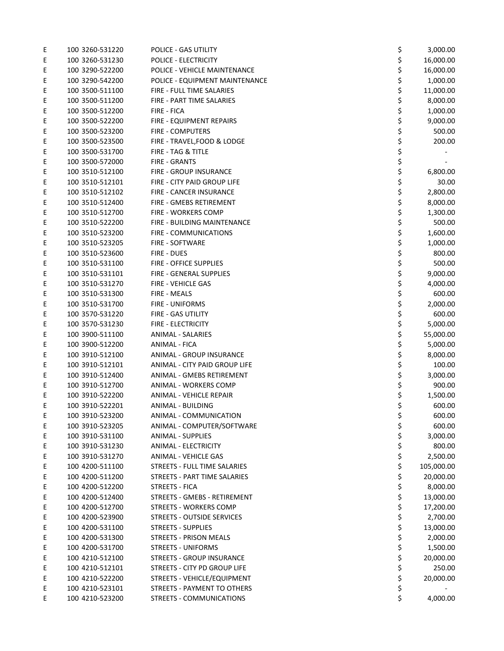| Ε      | 100 3260-531220                    | POLICE - GAS UTILITY              | \$<br>3,000.00              |
|--------|------------------------------------|-----------------------------------|-----------------------------|
| Ε      | 100 3260-531230                    | POLICE - ELECTRICITY              | \$<br>16,000.00             |
| Ε      | 100 3290-522200                    | POLICE - VEHICLE MAINTENANCE      | \$<br>16,000.00             |
| Ε      | 100 3290-542200                    | POLICE - EQUIPMENT MAINTENANCE    | \$<br>1,000.00              |
| Ε      | 100 3500-511100                    | FIRE - FULL TIME SALARIES         | \$<br>11,000.00             |
| Ε      | 100 3500-511200                    | FIRE - PART TIME SALARIES         | \$<br>8,000.00              |
| Ε      | 100 3500-512200                    | FIRE - FICA                       | \$<br>1,000.00              |
| Ε      | 100 3500-522200                    | FIRE - EQUIPMENT REPAIRS          | \$<br>9,000.00              |
| E      | 100 3500-523200                    | <b>FIRE - COMPUTERS</b>           | \$<br>500.00                |
| Ε      | 100 3500-523500                    | FIRE - TRAVEL, FOOD & LODGE       | \$<br>200.00                |
| Ε      | 100 3500-531700                    | FIRE - TAG & TITLE                | \$                          |
| Ε      | 100 3500-572000                    | <b>FIRE - GRANTS</b>              | \$                          |
| Ε      | 100 3510-512100                    | FIRE - GROUP INSURANCE            | \$<br>6,800.00              |
| Ε      | 100 3510-512101                    | FIRE - CITY PAID GROUP LIFE       | \$<br>30.00                 |
| Ε      | 100 3510-512102                    | FIRE - CANCER INSURANCE           | \$<br>2,800.00              |
| Ε      | 100 3510-512400                    | FIRE - GMEBS RETIREMENT           | \$<br>8,000.00              |
| Ε      | 100 3510-512700                    | FIRE - WORKERS COMP               | \$<br>1,300.00              |
| Ε      | 100 3510-522200                    | FIRE - BUILDING MAINTENANCE       | \$<br>500.00                |
| Ε      | 100 3510-523200                    | FIRE - COMMUNICATIONS             | \$<br>1,600.00              |
| E      | 100 3510-523205                    | <b>FIRE - SOFTWARE</b>            | \$<br>1,000.00              |
| Ε      | 100 3510-523600                    | FIRE - DUES                       | \$<br>800.00                |
| Ε      | 100 3510-531100                    | FIRE - OFFICE SUPPLIES            | \$<br>500.00                |
| E      | 100 3510-531101                    | FIRE - GENERAL SUPPLIES           | \$<br>9,000.00              |
| Ε      | 100 3510-531270                    | FIRE - VEHICLE GAS                | \$<br>4,000.00              |
| Ε      | 100 3510-531300                    | FIRE - MEALS                      | \$<br>600.00                |
| Ε      | 100 3510-531700                    | FIRE - UNIFORMS                   | \$<br>2,000.00              |
| Ε      | 100 3570-531220                    | FIRE - GAS UTILITY                | \$<br>600.00                |
| Ε      | 100 3570-531230                    | <b>FIRE - ELECTRICITY</b>         | \$<br>5,000.00              |
| Ε      | 100 3900-511100                    | <b>ANIMAL - SALARIES</b>          | \$<br>55,000.00             |
| Ε      | 100 3900-512200                    | <b>ANIMAL - FICA</b>              | \$<br>5,000.00              |
| Ε      | 100 3910-512100                    | ANIMAL - GROUP INSURANCE          | \$<br>8,000.00              |
| Ε      | 100 3910-512101                    | ANIMAL - CITY PAID GROUP LIFE     | \$<br>100.00                |
| Ε      | 100 3910-512400                    | ANIMAL - GMEBS RETIREMENT         | \$<br>3,000.00              |
| Ε      | 100 3910-512700                    | <b>ANIMAL - WORKERS COMP</b>      | \$<br>900.00                |
| Ε      | 100 3910-522200                    | ANIMAL - VEHICLE REPAIR           | \$<br>1,500.00              |
| Ε      | 100 3910-522201                    | ANIMAL - BUILDING                 | \$<br>600.00                |
| E      | 100 3910-523200                    | ANIMAL - COMMUNICATION            | \$<br>600.00                |
| Ε      | 100 3910-523205                    | ANIMAL - COMPUTER/SOFTWARE        | \$<br>600.00                |
| Ε      | 100 3910-531100                    | <b>ANIMAL - SUPPLIES</b>          | \$<br>3,000.00              |
| Ε      | 100 3910-531230                    | <b>ANIMAL - ELECTRICITY</b>       | \$<br>800.00                |
|        | 100 3910-531270                    | <b>ANIMAL - VEHICLE GAS</b>       | \$<br>2,500.00              |
| Ε<br>Ε | 100 4200-511100                    | STREETS - FULL TIME SALARIES      | \$<br>105,000.00            |
| Ε      | 100 4200-511200                    | STREETS - PART TIME SALARIES      | \$<br>20,000.00             |
| Ε      | 100 4200-512200                    | STREETS - FICA                    | \$<br>8,000.00              |
|        | 100 4200-512400                    | STREETS - GMEBS - RETIREMENT      | \$<br>13,000.00             |
| Ε      |                                    | <b>STREETS - WORKERS COMP</b>     |                             |
| Ε      | 100 4200-512700<br>100 4200-523900 | <b>STREETS - OUTSIDE SERVICES</b> | \$<br>17,200.00<br>2,700.00 |
| Ε      |                                    | <b>STREETS - SUPPLIES</b>         | \$                          |
| Ε      | 100 4200-531100<br>100 4200-531300 |                                   | \$<br>13,000.00             |
| Ε      |                                    | STREETS - PRISON MEALS            | \$<br>2,000.00              |
| Ε      | 100 4200-531700                    | <b>STREETS - UNIFORMS</b>         | \$<br>1,500.00              |
| Ε      | 100 4210-512100                    | STREETS - GROUP INSURANCE         | \$<br>20,000.00             |
| Ε      | 100 4210-512101                    | STREETS - CITY PD GROUP LIFE      | \$<br>250.00                |
| Ε      | 100 4210-522200                    | STREETS - VEHICLE/EQUIPMENT       | \$<br>20,000.00             |
| Ε      | 100 4210-523101                    | STREETS - PAYMENT TO OTHERS       | \$                          |
| Ε      | 100 4210-523200                    | STREETS - COMMUNICATIONS          | \$<br>4,000.00              |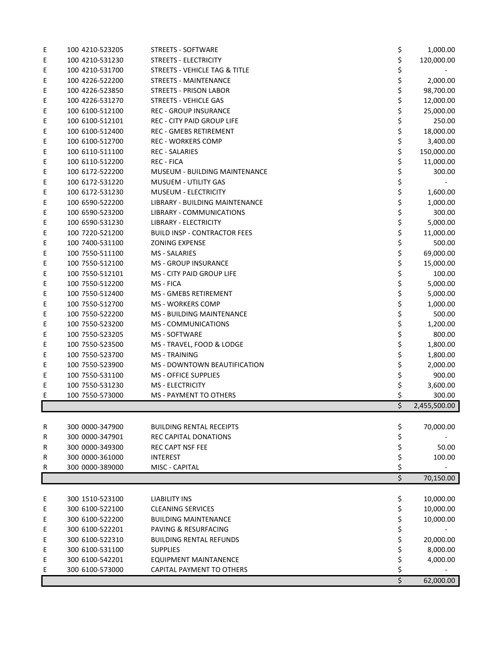| Ε | 100 4210-523205 | <b>STREETS - SOFTWARE</b>           | \$<br>1,000.00     |
|---|-----------------|-------------------------------------|--------------------|
| Ε | 100 4210-531230 | STREETS - ELECTRICITY               | \$<br>120,000.00   |
| Ε | 100 4210-531700 | STREETS - VEHICLE TAG & TITLE       | \$                 |
| Ε | 100 4226-522200 | <b>STREETS - MAINTENANCE</b>        | \$<br>2,000.00     |
| Ε | 100 4226-523850 | <b>STREETS - PRISON LABOR</b>       | \$<br>98,700.00    |
| Ε | 100 4226-531270 | <b>STREETS - VEHICLE GAS</b>        | \$<br>12,000.00    |
| Ε | 100 6100-512100 | <b>REC - GROUP INSURANCE</b>        | \$<br>25,000.00    |
| Ε | 100 6100-512101 | REC - CITY PAID GROUP LIFE          | \$<br>250.00       |
| Ε | 100 6100-512400 | <b>REC - GMEBS RETIREMENT</b>       | \$<br>18,000.00    |
| Ε | 100 6100-512700 | <b>REC - WORKERS COMP</b>           | \$<br>3,400.00     |
| Ε | 100 6110-511100 | <b>REC - SALARIES</b>               | \$<br>150,000.00   |
| Ε | 100 6110-512200 | <b>REC - FICA</b>                   | \$<br>11,000.00    |
| Ε | 100 6172-522200 | MUSEUM - BUILDING MAINTENANCE       | \$<br>300.00       |
| Ε | 100 6172-531220 | MUSUEM - UTILITY GAS                | \$                 |
| Ε | 100 6172-531230 | <b>MUSEUM - ELECTRICITY</b>         | \$<br>1,600.00     |
| Ε | 100 6590-522200 | LIBRARY - BUILDING MAINTENANCE      | \$                 |
|   |                 |                                     | 1,000.00           |
| Ε | 100 6590-523200 | LIBRARY - COMMUNICATIONS            | \$<br>300.00       |
| Ε | 100 6590-531230 | LIBRARY - ELECTRICITY               | \$<br>5,000.00     |
| Ε | 100 7220-521200 | <b>BUILD INSP - CONTRACTOR FEES</b> | \$<br>11,000.00    |
| Ε | 100 7400-531100 | <b>ZONING EXPENSE</b>               | \$<br>500.00       |
| Ε | 100 7550-511100 | MS - SALARIES                       | \$<br>69,000.00    |
| Ε | 100 7550-512100 | MS - GROUP INSURANCE                | \$<br>15,000.00    |
| Ε | 100 7550-512101 | <b>MS - CITY PAID GROUP LIFE</b>    | \$<br>100.00       |
| Ε | 100 7550-512200 | MS - FICA                           | \$<br>5,000.00     |
| Ε | 100 7550-512400 | MS - GMEBS RETIREMENT               | \$<br>5,000.00     |
| Ε | 100 7550-512700 | <b>MS - WORKERS COMP</b>            | \$<br>1,000.00     |
| Ε | 100 7550-522200 | MS - BUILDING MAINTENANCE           | \$<br>500.00       |
| Ε | 100 7550-523200 | <b>MS - COMMUNICATIONS</b>          | \$<br>1,200.00     |
| Ε | 100 7550-523205 | <b>MS - SOFTWARE</b>                | \$<br>800.00       |
| Ε | 100 7550-523500 | MS - TRAVEL, FOOD & LODGE           | \$<br>1,800.00     |
| E | 100 7550-523700 | <b>MS - TRAINING</b>                | \$<br>1,800.00     |
| Ε | 100 7550-523900 | MS - DOWNTOWN BEAUTIFICATION        | \$<br>2,000.00     |
| Ε | 100 7550-531100 | MS - OFFICE SUPPLIES                | \$<br>900.00       |
| Ε | 100 7550-531230 | MS - ELECTRICITY                    | \$<br>3,600.00     |
| Ε | 100 7550-573000 | MS - PAYMENT TO OTHERS              | \$<br>300.00       |
|   |                 |                                     | \$<br>2,455,500.00 |
|   |                 |                                     |                    |
| R | 300 0000-347900 | <b>BUILDING RENTAL RECEIPTS</b>     | \$<br>70,000.00    |
| R | 300 0000-347901 | REC CAPITAL DONATIONS               | \$                 |
| R | 300 0000-349300 | <b>REC CAPT NSF FEE</b>             | \$<br>50.00        |
| R | 300 0000-361000 | <b>INTEREST</b>                     | \$<br>100.00       |
| R | 300 0000-389000 | MISC - CAPITAL                      | \$                 |
|   |                 |                                     | \$<br>70,150.00    |
|   |                 |                                     |                    |
| Ε | 300 1510-523100 | <b>LIABILITY INS</b>                | \$<br>10,000.00    |
| Ε | 300 6100-522100 | <b>CLEANING SERVICES</b>            | \$<br>10,000.00    |
| Ε | 300 6100-522200 | <b>BUILDING MAINTENANCE</b>         | \$<br>10,000.00    |
| E | 300 6100-522201 | PAVING & RESURFACING                | \$                 |
| Ε | 300 6100-522310 | <b>BUILDING RENTAL REFUNDS</b>      | \$<br>20,000.00    |
| Ε | 300 6100-531100 | <b>SUPPLIES</b>                     | \$<br>8,000.00     |
| Ε | 300 6100-542201 | EQUIPMENT MAINTANENCE               | \$<br>4,000.00     |
| Ε | 300 6100-573000 | CAPITAL PAYMENT TO OTHERS           | \$                 |
|   |                 |                                     | \$<br>62,000.00    |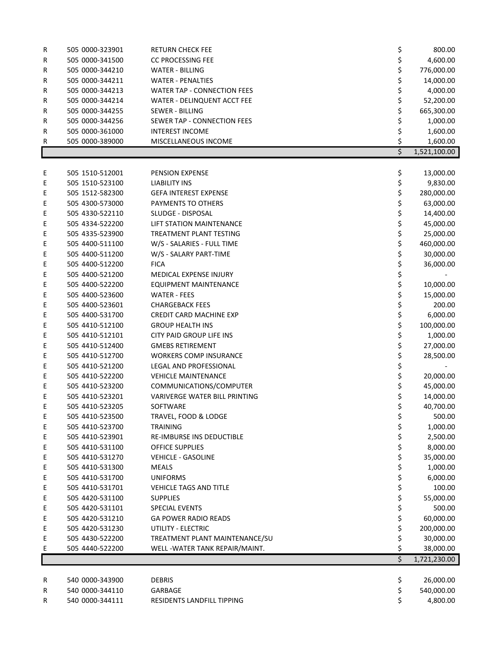| R | 505 0000-323901 | <b>RETURN CHECK FEE</b>            | \$<br>800.00       |
|---|-----------------|------------------------------------|--------------------|
| R | 505 0000-341500 | <b>CC PROCESSING FEE</b>           | \$<br>4,600.00     |
| R | 505 0000-344210 | <b>WATER - BILLING</b>             | \$<br>776,000.00   |
| R | 505 0000-344211 | <b>WATER - PENALTIES</b>           | \$<br>14,000.00    |
| R | 505 0000-344213 | <b>WATER TAP - CONNECTION FEES</b> | \$<br>4,000.00     |
| R | 505 0000-344214 | WATER - DELINQUENT ACCT FEE        | \$<br>52,200.00    |
| R | 505 0000-344255 | SEWER - BILLING                    | \$<br>665,300.00   |
| R | 505 0000-344256 | SEWER TAP - CONNECTION FEES        | \$<br>1,000.00     |
| R | 505 0000-361000 | <b>INTEREST INCOME</b>             | \$<br>1,600.00     |
| R | 505 0000-389000 | MISCELLANEOUS INCOME               | \$<br>1,600.00     |
|   |                 |                                    | \$<br>1,521,100.00 |
|   |                 |                                    |                    |
| Ε | 505 1510-512001 | PENSION EXPENSE                    | \$<br>13,000.00    |
| Ε | 505 1510-523100 | LIABILITY INS                      | \$<br>9,830.00     |
| Ε | 505 1512-582300 | <b>GEFA INTEREST EXPENSE</b>       | \$<br>280,000.00   |
| Ε | 505 4300-573000 | PAYMENTS TO OTHERS                 | \$<br>63,000.00    |
| Ε | 505 4330-522110 | SLUDGE - DISPOSAL                  | \$<br>14,400.00    |
| Ε | 505 4334-522200 | LIFT STATION MAINTENANCE           | \$<br>45,000.00    |
| Ε | 505 4335-523900 | TREATMENT PLANT TESTING            | \$<br>25,000.00    |
| Ε | 505 4400-511100 | W/S - SALARIES - FULL TIME         | \$<br>460,000.00   |
| Ε | 505 4400-511200 | W/S - SALARY PART-TIME             | \$<br>30,000.00    |
| Ε | 505 4400-512200 | <b>FICA</b>                        | \$<br>36,000.00    |
| Ε | 505 4400-521200 | MEDICAL EXPENSE INJURY             | \$                 |
| Ε | 505 4400-522200 | EQUIPMENT MAINTENANCE              | \$<br>10,000.00    |
| Ε | 505 4400-523600 | <b>WATER - FEES</b>                | \$<br>15,000.00    |
| Ε | 505 4400-523601 | <b>CHARGEBACK FEES</b>             | \$<br>200.00       |
| Ε | 505 4400-531700 | <b>CREDIT CARD MACHINE EXP</b>     | \$<br>6,000.00     |
| Ε | 505 4410-512100 | <b>GROUP HEALTH INS</b>            | \$<br>100,000.00   |
| Ε | 505 4410-512101 | CITY PAID GROUP LIFE INS           | \$<br>1,000.00     |
| Ε | 505 4410-512400 | <b>GMEBS RETIREMENT</b>            | \$<br>27,000.00    |
| Ε | 505 4410-512700 | <b>WORKERS COMP INSURANCE</b>      | \$<br>28,500.00    |
| Ε | 505 4410-521200 | LEGAL AND PROFESSIONAL             | \$                 |
| Ε | 505 4410-522200 | <b>VEHICLE MAINTENANCE</b>         | \$<br>20,000.00    |
| Ε | 505 4410-523200 | COMMUNICATIONS/COMPUTER            | \$<br>45,000.00    |
| Ε | 505 4410-523201 | VARIVERGE WATER BILL PRINTING      | \$<br>14,000.00    |
| Ε | 505 4410-523205 | SOFTWARE                           | \$<br>40,700.00    |
| Ε | 505 4410-523500 | TRAVEL, FOOD & LODGE               | \$<br>500.00       |
| Ε | 505 4410-523700 | <b>TRAINING</b>                    | \$<br>1,000.00     |
| Ε | 505 4410-523901 | <b>RE-IMBURSE INS DEDUCTIBLE</b>   | \$<br>2,500.00     |
| Ε | 505 4410-531100 | OFFICE SUPPLIES                    | \$<br>8,000.00     |
| Ε | 505 4410-531270 | <b>VEHICLE - GASOLINE</b>          | \$<br>35,000.00    |
| Ε | 505 4410-531300 | <b>MEALS</b>                       | \$<br>1,000.00     |
| Ε | 505 4410-531700 | <b>UNIFORMS</b>                    | \$<br>6,000.00     |
| Ε | 505 4410-531701 | <b>VEHICLE TAGS AND TITLE</b>      | \$<br>100.00       |
| Ε | 505 4420-531100 | <b>SUPPLIES</b>                    | \$<br>55,000.00    |
| Ε | 505 4420-531101 | SPECIAL EVENTS                     | \$<br>500.00       |
| Ε | 505 4420-531210 | <b>GA POWER RADIO READS</b>        | \$<br>60,000.00    |
| Ε | 505 4420-531230 | UTILITY - ELECTRIC                 | \$<br>200,000.00   |
| Ε | 505 4430-522200 | TREATMENT PLANT MAINTENANCE/SU     | \$<br>30,000.00    |
| Ε | 505 4440-522200 | WELL - WATER TANK REPAIR/MAINT.    | \$<br>38,000.00    |
|   |                 |                                    | \$<br>1,721,230.00 |
|   |                 |                                    |                    |
| R | 540 0000-343900 | <b>DEBRIS</b>                      | \$<br>26,000.00    |
| R | 540 0000-344110 | GARBAGE                            | \$<br>540,000.00   |
| R | 540 0000-344111 | RESIDENTS LANDFILL TIPPING         | \$<br>4,800.00     |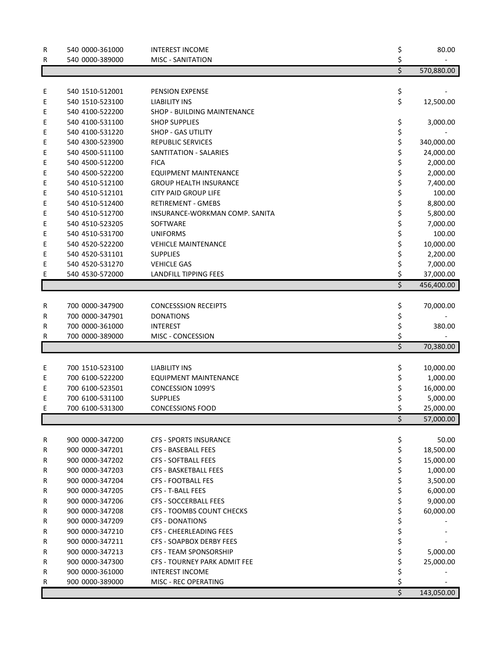| $\overline{\xi}$<br>570,880.00<br>\$<br>540 1510-512001<br>Ε<br>PENSION EXPENSE<br>\$<br>Ε<br>540 1510-523100<br><b>LIABILITY INS</b><br>12,500.00<br>540 4100-522200<br>SHOP - BUILDING MAINTENANCE<br>Ε<br>540 4100-531100<br>\$<br>Ε<br><b>SHOP SUPPLIES</b><br>3,000.00<br>\$<br>540 4100-531220<br><b>SHOP - GAS UTILITY</b><br>Ε<br>\$<br>540 4300-523900<br>REPUBLIC SERVICES<br>Ε<br>340,000.00<br>\$<br>540 4500-511100<br>SANTITATION - SALARIES<br>24,000.00<br>Ε<br>\$<br>Ε<br>540 4500-512200<br><b>FICA</b><br>2,000.00<br>\$<br>Ε<br>540 4500-522200<br><b>EQUIPMENT MAINTENANCE</b><br>2,000.00<br>\$<br>Ε<br>540 4510-512100<br>7,400.00<br><b>GROUP HEALTH INSURANCE</b><br>\$<br>Ε<br>540 4510-512101<br><b>CITY PAID GROUP LIFE</b><br>100.00<br>\$<br>Ε<br>540 4510-512400<br>8,800.00<br><b>RETIREMENT - GMEBS</b><br>\$<br>Ε<br>540 4510-512700<br>5,800.00<br>INSURANCE-WORKMAN COMP. SANITA<br>\$<br>Ε<br>540 4510-523205<br>7,000.00<br>SOFTWARE<br>\$<br>Ε<br>540 4510-531700<br>100.00<br><b>UNIFORMS</b><br>\$<br>Ε<br>540 4520-522200<br>10,000.00<br><b>VEHICLE MAINTENANCE</b><br>\$<br>Ε<br>540 4520-531101<br><b>SUPPLIES</b><br>2,200.00<br>\$<br>540 4520-531270<br>Ε<br><b>VEHICLE GAS</b><br>7,000.00<br>\$<br>Ε<br>540 4530-572000<br><b>LANDFILL TIPPING FEES</b><br>37,000.00<br>$\overline{\xi}$<br>456,400.00<br>\$<br>700 0000-347900<br>70,000.00<br>R<br><b>CONCESSSION RECEIPTS</b><br>\$<br>700 0000-347901<br>R<br><b>DONATIONS</b><br>\$<br>700 0000-361000<br>R<br><b>INTEREST</b><br>380.00<br>\$<br>700 0000-389000<br>MISC - CONCESSION<br>R<br>$\overline{\xi}$<br>70,380.00<br>700 1510-523100<br><b>LIABILITY INS</b><br>\$<br>Е<br>10,000.00<br>700 6100-522200<br>\$<br>EQUIPMENT MAINTENANCE<br>Ε<br>1,000.00<br>\$<br>700 6100-523501<br>CONCESSION 1099'S<br>16,000.00<br>Ε<br>\$<br>700 6100-531100<br><b>SUPPLIES</b><br>5,000.00<br>Ε<br>700 6100-531300<br><b>CONCESSIONS FOOD</b><br>25,000.00<br>E<br>\$<br>57,000.00<br>\$<br>50.00<br>R<br>900 0000-347200<br><b>CFS - SPORTS INSURANCE</b><br>\$<br>900 0000-347201<br>18,500.00<br>R<br><b>CFS - BASEBALL FEES</b><br>\$<br>900 0000-347202<br><b>CFS - SOFTBALL FEES</b><br>15,000.00<br>R<br>\$<br>900 0000-347203<br>CFS - BASKETBALL FEES<br>1,000.00<br>R<br>\$<br>900 0000-347204<br><b>CFS - FOOTBALL FES</b><br>3,500.00<br>R<br>\$<br>900 0000-347205<br><b>CFS - T-BALL FEES</b><br>6,000.00<br>R<br>\$<br>900 0000-347206<br><b>CFS - SOCCERBALL FEES</b><br>9,000.00<br>R<br>\$<br>900 0000-347208<br>CFS - TOOMBS COUNT CHECKS<br>60,000.00<br>R<br>\$<br>900 0000-347209<br><b>CFS - DONATIONS</b><br>R<br>\$<br>900 0000-347210<br>CFS - CHEERLEADING FEES<br>R<br>\$<br>900 0000-347211<br><b>CFS - SOAPBOX DERBY FEES</b><br>R<br>\$<br>900 0000-347213<br><b>CFS - TEAM SPONSORSHIP</b><br>5,000.00<br>R<br>\$<br>900 0000-347300<br>CFS - TOURNEY PARK ADMIT FEE<br>25,000.00<br>R<br>\$<br>900 0000-361000<br><b>INTEREST INCOME</b><br>R<br>\$<br>900 0000-389000<br>MISC - REC OPERATING<br>R<br>\$<br>143,050.00 | R<br>R | 540 0000-361000<br>540 0000-389000 | <b>INTEREST INCOME</b><br><b>MISC - SANITATION</b> | \$<br>\$ | 80.00 |
|-----------------------------------------------------------------------------------------------------------------------------------------------------------------------------------------------------------------------------------------------------------------------------------------------------------------------------------------------------------------------------------------------------------------------------------------------------------------------------------------------------------------------------------------------------------------------------------------------------------------------------------------------------------------------------------------------------------------------------------------------------------------------------------------------------------------------------------------------------------------------------------------------------------------------------------------------------------------------------------------------------------------------------------------------------------------------------------------------------------------------------------------------------------------------------------------------------------------------------------------------------------------------------------------------------------------------------------------------------------------------------------------------------------------------------------------------------------------------------------------------------------------------------------------------------------------------------------------------------------------------------------------------------------------------------------------------------------------------------------------------------------------------------------------------------------------------------------------------------------------------------------------------------------------------------------------------------------------------------------------------------------------------------------------------------------------------------------------------------------------------------------------------------------------------------------------------------------------------------------------------------------------------------------------------------------------------------------------------------------------------------------------------------------------------------------------------------------------------------------------------------------------------------------------------------------------------------------------------------------------------------------------------------------------------------------------------------------------------------------------------------------------------------------------------------------------------------------------------------------------------------------------------------------------------------------------------------------------------------------------------------------------------------------------------------------------|--------|------------------------------------|----------------------------------------------------|----------|-------|
|                                                                                                                                                                                                                                                                                                                                                                                                                                                                                                                                                                                                                                                                                                                                                                                                                                                                                                                                                                                                                                                                                                                                                                                                                                                                                                                                                                                                                                                                                                                                                                                                                                                                                                                                                                                                                                                                                                                                                                                                                                                                                                                                                                                                                                                                                                                                                                                                                                                                                                                                                                                                                                                                                                                                                                                                                                                                                                                                                                                                                                                                 |        |                                    |                                                    |          |       |
|                                                                                                                                                                                                                                                                                                                                                                                                                                                                                                                                                                                                                                                                                                                                                                                                                                                                                                                                                                                                                                                                                                                                                                                                                                                                                                                                                                                                                                                                                                                                                                                                                                                                                                                                                                                                                                                                                                                                                                                                                                                                                                                                                                                                                                                                                                                                                                                                                                                                                                                                                                                                                                                                                                                                                                                                                                                                                                                                                                                                                                                                 |        |                                    |                                                    |          |       |
|                                                                                                                                                                                                                                                                                                                                                                                                                                                                                                                                                                                                                                                                                                                                                                                                                                                                                                                                                                                                                                                                                                                                                                                                                                                                                                                                                                                                                                                                                                                                                                                                                                                                                                                                                                                                                                                                                                                                                                                                                                                                                                                                                                                                                                                                                                                                                                                                                                                                                                                                                                                                                                                                                                                                                                                                                                                                                                                                                                                                                                                                 |        |                                    |                                                    |          |       |
|                                                                                                                                                                                                                                                                                                                                                                                                                                                                                                                                                                                                                                                                                                                                                                                                                                                                                                                                                                                                                                                                                                                                                                                                                                                                                                                                                                                                                                                                                                                                                                                                                                                                                                                                                                                                                                                                                                                                                                                                                                                                                                                                                                                                                                                                                                                                                                                                                                                                                                                                                                                                                                                                                                                                                                                                                                                                                                                                                                                                                                                                 |        |                                    |                                                    |          |       |
|                                                                                                                                                                                                                                                                                                                                                                                                                                                                                                                                                                                                                                                                                                                                                                                                                                                                                                                                                                                                                                                                                                                                                                                                                                                                                                                                                                                                                                                                                                                                                                                                                                                                                                                                                                                                                                                                                                                                                                                                                                                                                                                                                                                                                                                                                                                                                                                                                                                                                                                                                                                                                                                                                                                                                                                                                                                                                                                                                                                                                                                                 |        |                                    |                                                    |          |       |
|                                                                                                                                                                                                                                                                                                                                                                                                                                                                                                                                                                                                                                                                                                                                                                                                                                                                                                                                                                                                                                                                                                                                                                                                                                                                                                                                                                                                                                                                                                                                                                                                                                                                                                                                                                                                                                                                                                                                                                                                                                                                                                                                                                                                                                                                                                                                                                                                                                                                                                                                                                                                                                                                                                                                                                                                                                                                                                                                                                                                                                                                 |        |                                    |                                                    |          |       |
|                                                                                                                                                                                                                                                                                                                                                                                                                                                                                                                                                                                                                                                                                                                                                                                                                                                                                                                                                                                                                                                                                                                                                                                                                                                                                                                                                                                                                                                                                                                                                                                                                                                                                                                                                                                                                                                                                                                                                                                                                                                                                                                                                                                                                                                                                                                                                                                                                                                                                                                                                                                                                                                                                                                                                                                                                                                                                                                                                                                                                                                                 |        |                                    |                                                    |          |       |
|                                                                                                                                                                                                                                                                                                                                                                                                                                                                                                                                                                                                                                                                                                                                                                                                                                                                                                                                                                                                                                                                                                                                                                                                                                                                                                                                                                                                                                                                                                                                                                                                                                                                                                                                                                                                                                                                                                                                                                                                                                                                                                                                                                                                                                                                                                                                                                                                                                                                                                                                                                                                                                                                                                                                                                                                                                                                                                                                                                                                                                                                 |        |                                    |                                                    |          |       |
|                                                                                                                                                                                                                                                                                                                                                                                                                                                                                                                                                                                                                                                                                                                                                                                                                                                                                                                                                                                                                                                                                                                                                                                                                                                                                                                                                                                                                                                                                                                                                                                                                                                                                                                                                                                                                                                                                                                                                                                                                                                                                                                                                                                                                                                                                                                                                                                                                                                                                                                                                                                                                                                                                                                                                                                                                                                                                                                                                                                                                                                                 |        |                                    |                                                    |          |       |
|                                                                                                                                                                                                                                                                                                                                                                                                                                                                                                                                                                                                                                                                                                                                                                                                                                                                                                                                                                                                                                                                                                                                                                                                                                                                                                                                                                                                                                                                                                                                                                                                                                                                                                                                                                                                                                                                                                                                                                                                                                                                                                                                                                                                                                                                                                                                                                                                                                                                                                                                                                                                                                                                                                                                                                                                                                                                                                                                                                                                                                                                 |        |                                    |                                                    |          |       |
|                                                                                                                                                                                                                                                                                                                                                                                                                                                                                                                                                                                                                                                                                                                                                                                                                                                                                                                                                                                                                                                                                                                                                                                                                                                                                                                                                                                                                                                                                                                                                                                                                                                                                                                                                                                                                                                                                                                                                                                                                                                                                                                                                                                                                                                                                                                                                                                                                                                                                                                                                                                                                                                                                                                                                                                                                                                                                                                                                                                                                                                                 |        |                                    |                                                    |          |       |
|                                                                                                                                                                                                                                                                                                                                                                                                                                                                                                                                                                                                                                                                                                                                                                                                                                                                                                                                                                                                                                                                                                                                                                                                                                                                                                                                                                                                                                                                                                                                                                                                                                                                                                                                                                                                                                                                                                                                                                                                                                                                                                                                                                                                                                                                                                                                                                                                                                                                                                                                                                                                                                                                                                                                                                                                                                                                                                                                                                                                                                                                 |        |                                    |                                                    |          |       |
|                                                                                                                                                                                                                                                                                                                                                                                                                                                                                                                                                                                                                                                                                                                                                                                                                                                                                                                                                                                                                                                                                                                                                                                                                                                                                                                                                                                                                                                                                                                                                                                                                                                                                                                                                                                                                                                                                                                                                                                                                                                                                                                                                                                                                                                                                                                                                                                                                                                                                                                                                                                                                                                                                                                                                                                                                                                                                                                                                                                                                                                                 |        |                                    |                                                    |          |       |
|                                                                                                                                                                                                                                                                                                                                                                                                                                                                                                                                                                                                                                                                                                                                                                                                                                                                                                                                                                                                                                                                                                                                                                                                                                                                                                                                                                                                                                                                                                                                                                                                                                                                                                                                                                                                                                                                                                                                                                                                                                                                                                                                                                                                                                                                                                                                                                                                                                                                                                                                                                                                                                                                                                                                                                                                                                                                                                                                                                                                                                                                 |        |                                    |                                                    |          |       |
|                                                                                                                                                                                                                                                                                                                                                                                                                                                                                                                                                                                                                                                                                                                                                                                                                                                                                                                                                                                                                                                                                                                                                                                                                                                                                                                                                                                                                                                                                                                                                                                                                                                                                                                                                                                                                                                                                                                                                                                                                                                                                                                                                                                                                                                                                                                                                                                                                                                                                                                                                                                                                                                                                                                                                                                                                                                                                                                                                                                                                                                                 |        |                                    |                                                    |          |       |
|                                                                                                                                                                                                                                                                                                                                                                                                                                                                                                                                                                                                                                                                                                                                                                                                                                                                                                                                                                                                                                                                                                                                                                                                                                                                                                                                                                                                                                                                                                                                                                                                                                                                                                                                                                                                                                                                                                                                                                                                                                                                                                                                                                                                                                                                                                                                                                                                                                                                                                                                                                                                                                                                                                                                                                                                                                                                                                                                                                                                                                                                 |        |                                    |                                                    |          |       |
|                                                                                                                                                                                                                                                                                                                                                                                                                                                                                                                                                                                                                                                                                                                                                                                                                                                                                                                                                                                                                                                                                                                                                                                                                                                                                                                                                                                                                                                                                                                                                                                                                                                                                                                                                                                                                                                                                                                                                                                                                                                                                                                                                                                                                                                                                                                                                                                                                                                                                                                                                                                                                                                                                                                                                                                                                                                                                                                                                                                                                                                                 |        |                                    |                                                    |          |       |
|                                                                                                                                                                                                                                                                                                                                                                                                                                                                                                                                                                                                                                                                                                                                                                                                                                                                                                                                                                                                                                                                                                                                                                                                                                                                                                                                                                                                                                                                                                                                                                                                                                                                                                                                                                                                                                                                                                                                                                                                                                                                                                                                                                                                                                                                                                                                                                                                                                                                                                                                                                                                                                                                                                                                                                                                                                                                                                                                                                                                                                                                 |        |                                    |                                                    |          |       |
|                                                                                                                                                                                                                                                                                                                                                                                                                                                                                                                                                                                                                                                                                                                                                                                                                                                                                                                                                                                                                                                                                                                                                                                                                                                                                                                                                                                                                                                                                                                                                                                                                                                                                                                                                                                                                                                                                                                                                                                                                                                                                                                                                                                                                                                                                                                                                                                                                                                                                                                                                                                                                                                                                                                                                                                                                                                                                                                                                                                                                                                                 |        |                                    |                                                    |          |       |
|                                                                                                                                                                                                                                                                                                                                                                                                                                                                                                                                                                                                                                                                                                                                                                                                                                                                                                                                                                                                                                                                                                                                                                                                                                                                                                                                                                                                                                                                                                                                                                                                                                                                                                                                                                                                                                                                                                                                                                                                                                                                                                                                                                                                                                                                                                                                                                                                                                                                                                                                                                                                                                                                                                                                                                                                                                                                                                                                                                                                                                                                 |        |                                    |                                                    |          |       |
|                                                                                                                                                                                                                                                                                                                                                                                                                                                                                                                                                                                                                                                                                                                                                                                                                                                                                                                                                                                                                                                                                                                                                                                                                                                                                                                                                                                                                                                                                                                                                                                                                                                                                                                                                                                                                                                                                                                                                                                                                                                                                                                                                                                                                                                                                                                                                                                                                                                                                                                                                                                                                                                                                                                                                                                                                                                                                                                                                                                                                                                                 |        |                                    |                                                    |          |       |
|                                                                                                                                                                                                                                                                                                                                                                                                                                                                                                                                                                                                                                                                                                                                                                                                                                                                                                                                                                                                                                                                                                                                                                                                                                                                                                                                                                                                                                                                                                                                                                                                                                                                                                                                                                                                                                                                                                                                                                                                                                                                                                                                                                                                                                                                                                                                                                                                                                                                                                                                                                                                                                                                                                                                                                                                                                                                                                                                                                                                                                                                 |        |                                    |                                                    |          |       |
|                                                                                                                                                                                                                                                                                                                                                                                                                                                                                                                                                                                                                                                                                                                                                                                                                                                                                                                                                                                                                                                                                                                                                                                                                                                                                                                                                                                                                                                                                                                                                                                                                                                                                                                                                                                                                                                                                                                                                                                                                                                                                                                                                                                                                                                                                                                                                                                                                                                                                                                                                                                                                                                                                                                                                                                                                                                                                                                                                                                                                                                                 |        |                                    |                                                    |          |       |
|                                                                                                                                                                                                                                                                                                                                                                                                                                                                                                                                                                                                                                                                                                                                                                                                                                                                                                                                                                                                                                                                                                                                                                                                                                                                                                                                                                                                                                                                                                                                                                                                                                                                                                                                                                                                                                                                                                                                                                                                                                                                                                                                                                                                                                                                                                                                                                                                                                                                                                                                                                                                                                                                                                                                                                                                                                                                                                                                                                                                                                                                 |        |                                    |                                                    |          |       |
|                                                                                                                                                                                                                                                                                                                                                                                                                                                                                                                                                                                                                                                                                                                                                                                                                                                                                                                                                                                                                                                                                                                                                                                                                                                                                                                                                                                                                                                                                                                                                                                                                                                                                                                                                                                                                                                                                                                                                                                                                                                                                                                                                                                                                                                                                                                                                                                                                                                                                                                                                                                                                                                                                                                                                                                                                                                                                                                                                                                                                                                                 |        |                                    |                                                    |          |       |
|                                                                                                                                                                                                                                                                                                                                                                                                                                                                                                                                                                                                                                                                                                                                                                                                                                                                                                                                                                                                                                                                                                                                                                                                                                                                                                                                                                                                                                                                                                                                                                                                                                                                                                                                                                                                                                                                                                                                                                                                                                                                                                                                                                                                                                                                                                                                                                                                                                                                                                                                                                                                                                                                                                                                                                                                                                                                                                                                                                                                                                                                 |        |                                    |                                                    |          |       |
|                                                                                                                                                                                                                                                                                                                                                                                                                                                                                                                                                                                                                                                                                                                                                                                                                                                                                                                                                                                                                                                                                                                                                                                                                                                                                                                                                                                                                                                                                                                                                                                                                                                                                                                                                                                                                                                                                                                                                                                                                                                                                                                                                                                                                                                                                                                                                                                                                                                                                                                                                                                                                                                                                                                                                                                                                                                                                                                                                                                                                                                                 |        |                                    |                                                    |          |       |
|                                                                                                                                                                                                                                                                                                                                                                                                                                                                                                                                                                                                                                                                                                                                                                                                                                                                                                                                                                                                                                                                                                                                                                                                                                                                                                                                                                                                                                                                                                                                                                                                                                                                                                                                                                                                                                                                                                                                                                                                                                                                                                                                                                                                                                                                                                                                                                                                                                                                                                                                                                                                                                                                                                                                                                                                                                                                                                                                                                                                                                                                 |        |                                    |                                                    |          |       |
|                                                                                                                                                                                                                                                                                                                                                                                                                                                                                                                                                                                                                                                                                                                                                                                                                                                                                                                                                                                                                                                                                                                                                                                                                                                                                                                                                                                                                                                                                                                                                                                                                                                                                                                                                                                                                                                                                                                                                                                                                                                                                                                                                                                                                                                                                                                                                                                                                                                                                                                                                                                                                                                                                                                                                                                                                                                                                                                                                                                                                                                                 |        |                                    |                                                    |          |       |
|                                                                                                                                                                                                                                                                                                                                                                                                                                                                                                                                                                                                                                                                                                                                                                                                                                                                                                                                                                                                                                                                                                                                                                                                                                                                                                                                                                                                                                                                                                                                                                                                                                                                                                                                                                                                                                                                                                                                                                                                                                                                                                                                                                                                                                                                                                                                                                                                                                                                                                                                                                                                                                                                                                                                                                                                                                                                                                                                                                                                                                                                 |        |                                    |                                                    |          |       |
|                                                                                                                                                                                                                                                                                                                                                                                                                                                                                                                                                                                                                                                                                                                                                                                                                                                                                                                                                                                                                                                                                                                                                                                                                                                                                                                                                                                                                                                                                                                                                                                                                                                                                                                                                                                                                                                                                                                                                                                                                                                                                                                                                                                                                                                                                                                                                                                                                                                                                                                                                                                                                                                                                                                                                                                                                                                                                                                                                                                                                                                                 |        |                                    |                                                    |          |       |
|                                                                                                                                                                                                                                                                                                                                                                                                                                                                                                                                                                                                                                                                                                                                                                                                                                                                                                                                                                                                                                                                                                                                                                                                                                                                                                                                                                                                                                                                                                                                                                                                                                                                                                                                                                                                                                                                                                                                                                                                                                                                                                                                                                                                                                                                                                                                                                                                                                                                                                                                                                                                                                                                                                                                                                                                                                                                                                                                                                                                                                                                 |        |                                    |                                                    |          |       |
|                                                                                                                                                                                                                                                                                                                                                                                                                                                                                                                                                                                                                                                                                                                                                                                                                                                                                                                                                                                                                                                                                                                                                                                                                                                                                                                                                                                                                                                                                                                                                                                                                                                                                                                                                                                                                                                                                                                                                                                                                                                                                                                                                                                                                                                                                                                                                                                                                                                                                                                                                                                                                                                                                                                                                                                                                                                                                                                                                                                                                                                                 |        |                                    |                                                    |          |       |
|                                                                                                                                                                                                                                                                                                                                                                                                                                                                                                                                                                                                                                                                                                                                                                                                                                                                                                                                                                                                                                                                                                                                                                                                                                                                                                                                                                                                                                                                                                                                                                                                                                                                                                                                                                                                                                                                                                                                                                                                                                                                                                                                                                                                                                                                                                                                                                                                                                                                                                                                                                                                                                                                                                                                                                                                                                                                                                                                                                                                                                                                 |        |                                    |                                                    |          |       |
|                                                                                                                                                                                                                                                                                                                                                                                                                                                                                                                                                                                                                                                                                                                                                                                                                                                                                                                                                                                                                                                                                                                                                                                                                                                                                                                                                                                                                                                                                                                                                                                                                                                                                                                                                                                                                                                                                                                                                                                                                                                                                                                                                                                                                                                                                                                                                                                                                                                                                                                                                                                                                                                                                                                                                                                                                                                                                                                                                                                                                                                                 |        |                                    |                                                    |          |       |
|                                                                                                                                                                                                                                                                                                                                                                                                                                                                                                                                                                                                                                                                                                                                                                                                                                                                                                                                                                                                                                                                                                                                                                                                                                                                                                                                                                                                                                                                                                                                                                                                                                                                                                                                                                                                                                                                                                                                                                                                                                                                                                                                                                                                                                                                                                                                                                                                                                                                                                                                                                                                                                                                                                                                                                                                                                                                                                                                                                                                                                                                 |        |                                    |                                                    |          |       |
|                                                                                                                                                                                                                                                                                                                                                                                                                                                                                                                                                                                                                                                                                                                                                                                                                                                                                                                                                                                                                                                                                                                                                                                                                                                                                                                                                                                                                                                                                                                                                                                                                                                                                                                                                                                                                                                                                                                                                                                                                                                                                                                                                                                                                                                                                                                                                                                                                                                                                                                                                                                                                                                                                                                                                                                                                                                                                                                                                                                                                                                                 |        |                                    |                                                    |          |       |
|                                                                                                                                                                                                                                                                                                                                                                                                                                                                                                                                                                                                                                                                                                                                                                                                                                                                                                                                                                                                                                                                                                                                                                                                                                                                                                                                                                                                                                                                                                                                                                                                                                                                                                                                                                                                                                                                                                                                                                                                                                                                                                                                                                                                                                                                                                                                                                                                                                                                                                                                                                                                                                                                                                                                                                                                                                                                                                                                                                                                                                                                 |        |                                    |                                                    |          |       |
|                                                                                                                                                                                                                                                                                                                                                                                                                                                                                                                                                                                                                                                                                                                                                                                                                                                                                                                                                                                                                                                                                                                                                                                                                                                                                                                                                                                                                                                                                                                                                                                                                                                                                                                                                                                                                                                                                                                                                                                                                                                                                                                                                                                                                                                                                                                                                                                                                                                                                                                                                                                                                                                                                                                                                                                                                                                                                                                                                                                                                                                                 |        |                                    |                                                    |          |       |
|                                                                                                                                                                                                                                                                                                                                                                                                                                                                                                                                                                                                                                                                                                                                                                                                                                                                                                                                                                                                                                                                                                                                                                                                                                                                                                                                                                                                                                                                                                                                                                                                                                                                                                                                                                                                                                                                                                                                                                                                                                                                                                                                                                                                                                                                                                                                                                                                                                                                                                                                                                                                                                                                                                                                                                                                                                                                                                                                                                                                                                                                 |        |                                    |                                                    |          |       |
|                                                                                                                                                                                                                                                                                                                                                                                                                                                                                                                                                                                                                                                                                                                                                                                                                                                                                                                                                                                                                                                                                                                                                                                                                                                                                                                                                                                                                                                                                                                                                                                                                                                                                                                                                                                                                                                                                                                                                                                                                                                                                                                                                                                                                                                                                                                                                                                                                                                                                                                                                                                                                                                                                                                                                                                                                                                                                                                                                                                                                                                                 |        |                                    |                                                    |          |       |
|                                                                                                                                                                                                                                                                                                                                                                                                                                                                                                                                                                                                                                                                                                                                                                                                                                                                                                                                                                                                                                                                                                                                                                                                                                                                                                                                                                                                                                                                                                                                                                                                                                                                                                                                                                                                                                                                                                                                                                                                                                                                                                                                                                                                                                                                                                                                                                                                                                                                                                                                                                                                                                                                                                                                                                                                                                                                                                                                                                                                                                                                 |        |                                    |                                                    |          |       |
|                                                                                                                                                                                                                                                                                                                                                                                                                                                                                                                                                                                                                                                                                                                                                                                                                                                                                                                                                                                                                                                                                                                                                                                                                                                                                                                                                                                                                                                                                                                                                                                                                                                                                                                                                                                                                                                                                                                                                                                                                                                                                                                                                                                                                                                                                                                                                                                                                                                                                                                                                                                                                                                                                                                                                                                                                                                                                                                                                                                                                                                                 |        |                                    |                                                    |          |       |
|                                                                                                                                                                                                                                                                                                                                                                                                                                                                                                                                                                                                                                                                                                                                                                                                                                                                                                                                                                                                                                                                                                                                                                                                                                                                                                                                                                                                                                                                                                                                                                                                                                                                                                                                                                                                                                                                                                                                                                                                                                                                                                                                                                                                                                                                                                                                                                                                                                                                                                                                                                                                                                                                                                                                                                                                                                                                                                                                                                                                                                                                 |        |                                    |                                                    |          |       |
|                                                                                                                                                                                                                                                                                                                                                                                                                                                                                                                                                                                                                                                                                                                                                                                                                                                                                                                                                                                                                                                                                                                                                                                                                                                                                                                                                                                                                                                                                                                                                                                                                                                                                                                                                                                                                                                                                                                                                                                                                                                                                                                                                                                                                                                                                                                                                                                                                                                                                                                                                                                                                                                                                                                                                                                                                                                                                                                                                                                                                                                                 |        |                                    |                                                    |          |       |
|                                                                                                                                                                                                                                                                                                                                                                                                                                                                                                                                                                                                                                                                                                                                                                                                                                                                                                                                                                                                                                                                                                                                                                                                                                                                                                                                                                                                                                                                                                                                                                                                                                                                                                                                                                                                                                                                                                                                                                                                                                                                                                                                                                                                                                                                                                                                                                                                                                                                                                                                                                                                                                                                                                                                                                                                                                                                                                                                                                                                                                                                 |        |                                    |                                                    |          |       |
|                                                                                                                                                                                                                                                                                                                                                                                                                                                                                                                                                                                                                                                                                                                                                                                                                                                                                                                                                                                                                                                                                                                                                                                                                                                                                                                                                                                                                                                                                                                                                                                                                                                                                                                                                                                                                                                                                                                                                                                                                                                                                                                                                                                                                                                                                                                                                                                                                                                                                                                                                                                                                                                                                                                                                                                                                                                                                                                                                                                                                                                                 |        |                                    |                                                    |          |       |
|                                                                                                                                                                                                                                                                                                                                                                                                                                                                                                                                                                                                                                                                                                                                                                                                                                                                                                                                                                                                                                                                                                                                                                                                                                                                                                                                                                                                                                                                                                                                                                                                                                                                                                                                                                                                                                                                                                                                                                                                                                                                                                                                                                                                                                                                                                                                                                                                                                                                                                                                                                                                                                                                                                                                                                                                                                                                                                                                                                                                                                                                 |        |                                    |                                                    |          |       |
|                                                                                                                                                                                                                                                                                                                                                                                                                                                                                                                                                                                                                                                                                                                                                                                                                                                                                                                                                                                                                                                                                                                                                                                                                                                                                                                                                                                                                                                                                                                                                                                                                                                                                                                                                                                                                                                                                                                                                                                                                                                                                                                                                                                                                                                                                                                                                                                                                                                                                                                                                                                                                                                                                                                                                                                                                                                                                                                                                                                                                                                                 |        |                                    |                                                    |          |       |
|                                                                                                                                                                                                                                                                                                                                                                                                                                                                                                                                                                                                                                                                                                                                                                                                                                                                                                                                                                                                                                                                                                                                                                                                                                                                                                                                                                                                                                                                                                                                                                                                                                                                                                                                                                                                                                                                                                                                                                                                                                                                                                                                                                                                                                                                                                                                                                                                                                                                                                                                                                                                                                                                                                                                                                                                                                                                                                                                                                                                                                                                 |        |                                    |                                                    |          |       |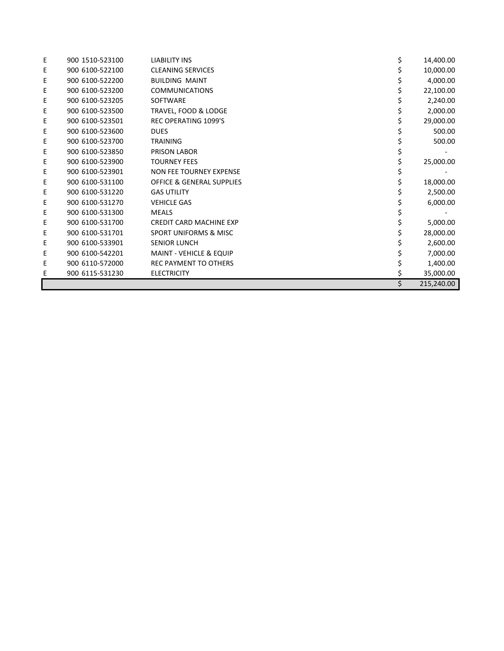| Ε | 900 1510-523100 | <b>LIABILITY INS</b>                 | 14,400.00        |
|---|-----------------|--------------------------------------|------------------|
| Ε | 900 6100-522100 | <b>CLEANING SERVICES</b>             | 10,000.00        |
| E | 900 6100-522200 | <b>BUILDING MAINT</b>                | 4,000.00         |
| E | 900 6100-523200 | <b>COMMUNICATIONS</b>                | 22,100.00        |
| Ε | 900 6100-523205 | SOFTWARE                             | 2,240.00         |
| Ε | 900 6100-523500 | TRAVEL, FOOD & LODGE                 | 2,000.00         |
| Ε | 900 6100-523501 | <b>REC OPERATING 1099'S</b>          | 29,000.00        |
| Ε | 900 6100-523600 | <b>DUES</b>                          | 500.00           |
| Ε | 900 6100-523700 | <b>TRAINING</b>                      | 500.00           |
| E | 900 6100-523850 | PRISON LABOR                         |                  |
| E | 900 6100-523900 | <b>TOURNEY FEES</b>                  | \$<br>25,000.00  |
| Ε | 900 6100-523901 | <b>NON FEE TOURNEY EXPENSE</b>       |                  |
| Ε | 900 6100-531100 | <b>OFFICE &amp; GENERAL SUPPLIES</b> | 18,000.00        |
| Ε | 900 6100-531220 | <b>GAS UTILITY</b>                   | 2,500.00         |
| Ε | 900 6100-531270 | <b>VEHICLE GAS</b>                   | 6,000.00         |
| Ε | 900 6100-531300 | <b>MEALS</b>                         |                  |
| Е | 900 6100-531700 | CREDIT CARD MACHINE EXP              | 5,000.00         |
| Ε | 900 6100-531701 | <b>SPORT UNIFORMS &amp; MISC</b>     | 28,000.00        |
| Ε | 900 6100-533901 | <b>SENIOR LUNCH</b>                  | 2,600.00         |
| Ε | 900 6100-542201 | <b>MAINT - VEHICLE &amp; EQUIP</b>   | 7,000.00         |
| E | 900 6110-572000 | <b>REC PAYMENT TO OTHERS</b>         | 1,400.00         |
| E | 900 6115-531230 | <b>ELECTRICITY</b>                   | \$<br>35,000.00  |
|   |                 |                                      | \$<br>215,240.00 |